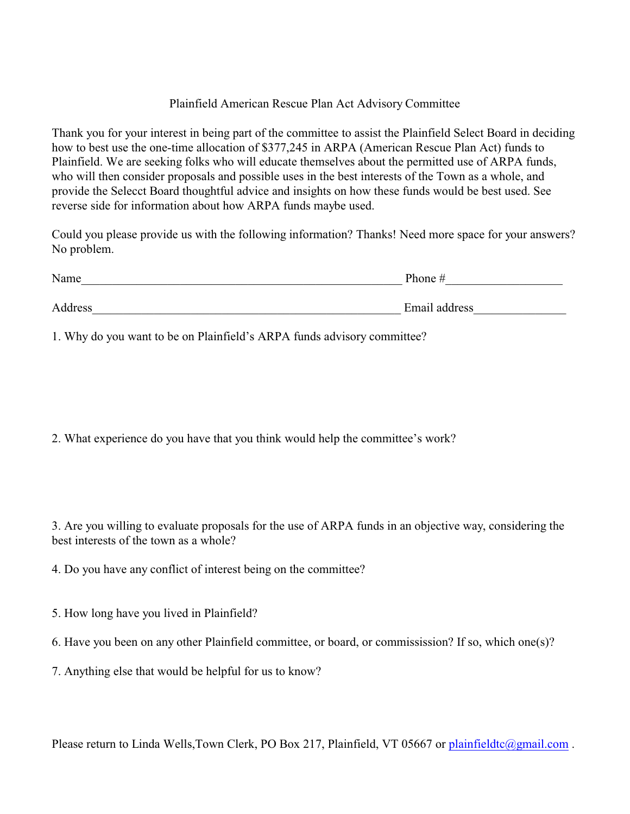## Plainfield American Rescue Plan Act Advisory Committee

Thank you for your interest in being part of the committee to assist the Plainfield Select Board in deciding how to best use the one-time allocation of \$377,245 in ARPA (American Rescue Plan Act) funds to Plainfield. We are seeking folks who will educate themselves about the permitted use of ARPA funds, who will then consider proposals and possible uses in the best interests of the Town as a whole, and provide the Selecct Board thoughtful advice and insights on how these funds would be best used. See reverse side for information about how ARPA funds maybe used.

Could you please provide us with the following information? Thanks! Need more space for your answers? No problem.

| Name    | Phone #       |
|---------|---------------|
| Address | Email address |

1. Why do you want to be on Plainfield's ARPA funds advisory committee?

2. What experience do you have that you think would help the committee's work?

3. Are you willing to evaluate proposals for the use of ARPA funds in an objective way, considering the best interests of the town as a whole?

4. Do you have any conflict of interest being on the committee?

- 5. How long have you lived in Plainfield?
- 6. Have you been on any other Plainfield committee, or board, or commissission? If so, which one(s)?
- 7. Anything else that would be helpful for us to know?

Please return to Linda Wells,Town Clerk, PO Box 217, Plainfield, VT 05667 or [plainfieldtc@gmail.com](mailto:plainfielodtc@gmail.com).